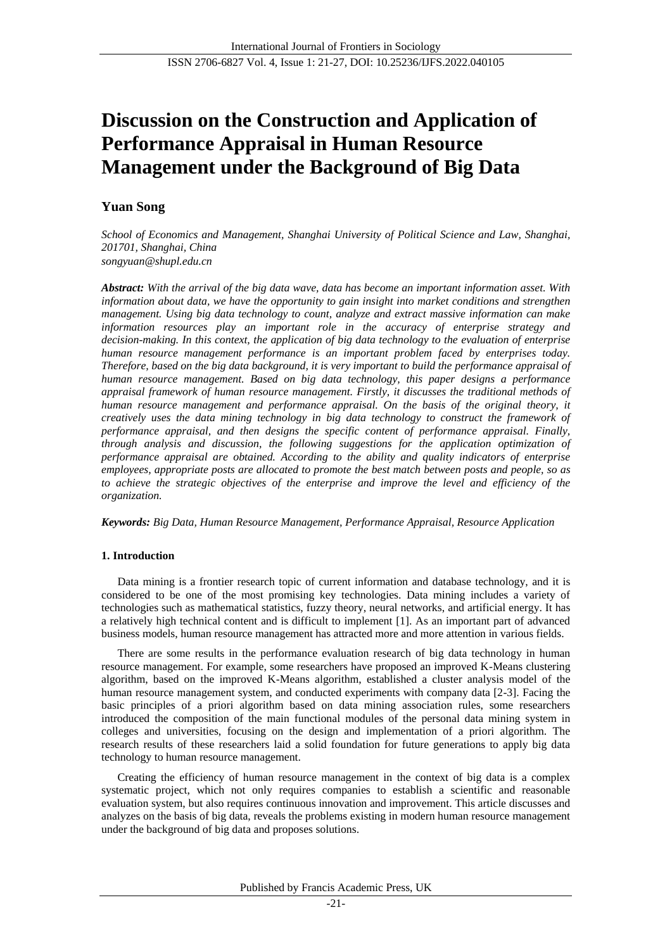# **Discussion on the Construction and Application of Performance Appraisal in Human Resource Management under the Background of Big Data**

## **Yuan Song**

*School of Economics and Management, Shanghai University of Political Science and Law, Shanghai, 201701, Shanghai, China songyuan@shupl.edu.cn*

*Abstract: With the arrival of the big data wave, data has become an important information asset. With information about data, we have the opportunity to gain insight into market conditions and strengthen management. Using big data technology to count, analyze and extract massive information can make information resources play an important role in the accuracy of enterprise strategy and decision-making. In this context, the application of big data technology to the evaluation of enterprise human resource management performance is an important problem faced by enterprises today. Therefore, based on the big data background, it is very important to build the performance appraisal of human resource management. Based on big data technology, this paper designs a performance appraisal framework of human resource management. Firstly, it discusses the traditional methods of human resource management and performance appraisal. On the basis of the original theory, it creatively uses the data mining technology in big data technology to construct the framework of performance appraisal, and then designs the specific content of performance appraisal. Finally, through analysis and discussion, the following suggestions for the application optimization of performance appraisal are obtained. According to the ability and quality indicators of enterprise employees, appropriate posts are allocated to promote the best match between posts and people, so as to achieve the strategic objectives of the enterprise and improve the level and efficiency of the organization.*

*Keywords: Big Data, Human Resource Management, Performance Appraisal, Resource Application*

## **1. Introduction**

Data mining is a frontier research topic of current information and database technology, and it is considered to be one of the most promising key technologies. Data mining includes a variety of technologies such as mathematical statistics, fuzzy theory, neural networks, and artificial energy. It has a relatively high technical content and is difficult to implement [1]. As an important part of advanced business models, human resource management has attracted more and more attention in various fields.

There are some results in the performance evaluation research of big data technology in human resource management. For example, some researchers have proposed an improved K-Means clustering algorithm, based on the improved K-Means algorithm, established a cluster analysis model of the human resource management system, and conducted experiments with company data [2-3]. Facing the basic principles of a priori algorithm based on data mining association rules, some researchers introduced the composition of the main functional modules of the personal data mining system in colleges and universities, focusing on the design and implementation of a priori algorithm. The research results of these researchers laid a solid foundation for future generations to apply big data technology to human resource management.

Creating the efficiency of human resource management in the context of big data is a complex systematic project, which not only requires companies to establish a scientific and reasonable evaluation system, but also requires continuous innovation and improvement. This article discusses and analyzes on the basis of big data, reveals the problems existing in modern human resource management under the background of big data and proposes solutions.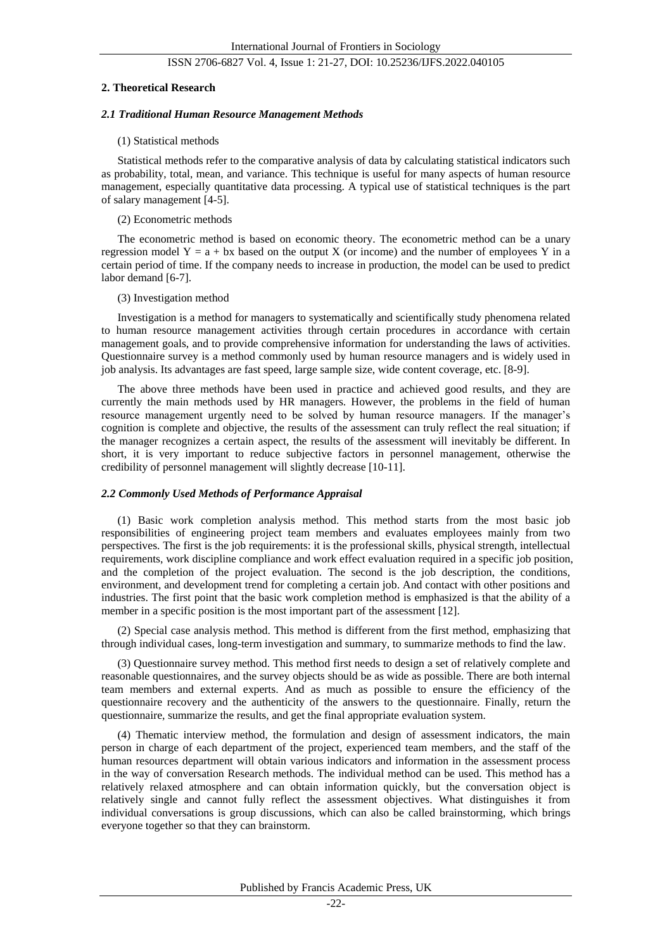#### **2. Theoretical Research**

#### *2.1 Traditional Human Resource Management Methods*

#### (1) Statistical methods

Statistical methods refer to the comparative analysis of data by calculating statistical indicators such as probability, total, mean, and variance. This technique is useful for many aspects of human resource management, especially quantitative data processing. A typical use of statistical techniques is the part of salary management [4-5].

## (2) Econometric methods

The econometric method is based on economic theory. The econometric method can be a unary regression model  $Y = a + bx$  based on the output X (or income) and the number of employees Y in a certain period of time. If the company needs to increase in production, the model can be used to predict labor demand [6-7].

#### (3) Investigation method

Investigation is a method for managers to systematically and scientifically study phenomena related to human resource management activities through certain procedures in accordance with certain management goals, and to provide comprehensive information for understanding the laws of activities. Questionnaire survey is a method commonly used by human resource managers and is widely used in job analysis. Its advantages are fast speed, large sample size, wide content coverage, etc. [8-9].

The above three methods have been used in practice and achieved good results, and they are currently the main methods used by HR managers. However, the problems in the field of human resource management urgently need to be solved by human resource managers. If the manager's cognition is complete and objective, the results of the assessment can truly reflect the real situation; if the manager recognizes a certain aspect, the results of the assessment will inevitably be different. In short, it is very important to reduce subjective factors in personnel management, otherwise the credibility of personnel management will slightly decrease [10-11].

#### *2.2 Commonly Used Methods of Performance Appraisal*

(1) Basic work completion analysis method. This method starts from the most basic job responsibilities of engineering project team members and evaluates employees mainly from two perspectives. The first is the job requirements: it is the professional skills, physical strength, intellectual requirements, work discipline compliance and work effect evaluation required in a specific job position, and the completion of the project evaluation. The second is the job description, the conditions, environment, and development trend for completing a certain job. And contact with other positions and industries. The first point that the basic work completion method is emphasized is that the ability of a member in a specific position is the most important part of the assessment [12].

(2) Special case analysis method. This method is different from the first method, emphasizing that through individual cases, long-term investigation and summary, to summarize methods to find the law.

(3) Questionnaire survey method. This method first needs to design a set of relatively complete and reasonable questionnaires, and the survey objects should be as wide as possible. There are both internal team members and external experts. And as much as possible to ensure the efficiency of the questionnaire recovery and the authenticity of the answers to the questionnaire. Finally, return the questionnaire, summarize the results, and get the final appropriate evaluation system.

(4) Thematic interview method, the formulation and design of assessment indicators, the main person in charge of each department of the project, experienced team members, and the staff of the human resources department will obtain various indicators and information in the assessment process in the way of conversation Research methods. The individual method can be used. This method has a relatively relaxed atmosphere and can obtain information quickly, but the conversation object is relatively single and cannot fully reflect the assessment objectives. What distinguishes it from individual conversations is group discussions, which can also be called brainstorming, which brings everyone together so that they can brainstorm.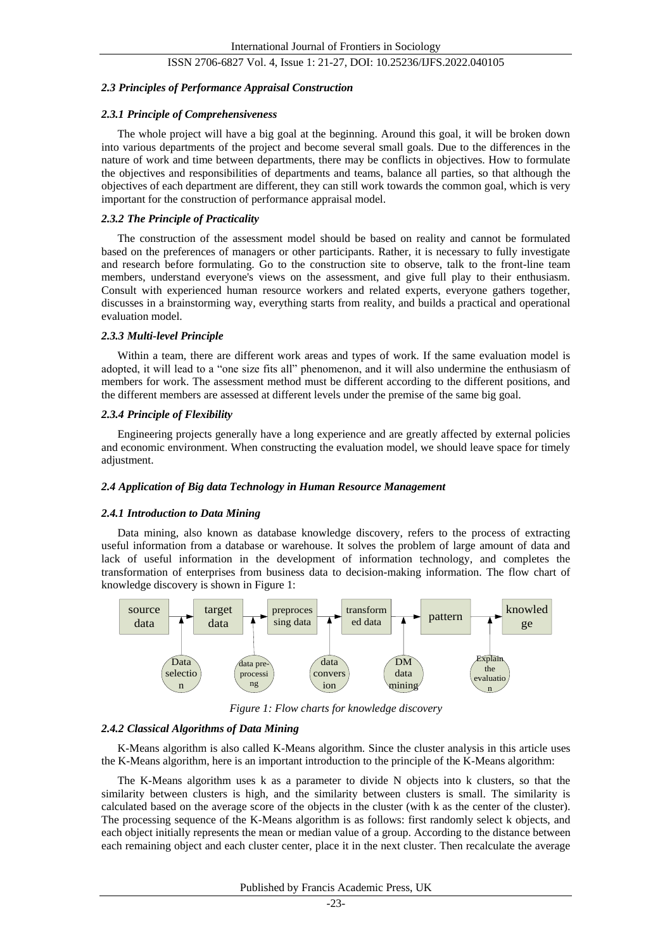#### *2.3 Principles of Performance Appraisal Construction*

#### *2.3.1 Principle of Comprehensiveness*

The whole project will have a big goal at the beginning. Around this goal, it will be broken down into various departments of the project and become several small goals. Due to the differences in the nature of work and time between departments, there may be conflicts in objectives. How to formulate the objectives and responsibilities of departments and teams, balance all parties, so that although the objectives of each department are different, they can still work towards the common goal, which is very important for the construction of performance appraisal model.

## *2.3.2 The Principle of Practicality*

The construction of the assessment model should be based on reality and cannot be formulated based on the preferences of managers or other participants. Rather, it is necessary to fully investigate and research before formulating. Go to the construction site to observe, talk to the front-line team members, understand everyone's views on the assessment, and give full play to their enthusiasm. Consult with experienced human resource workers and related experts, everyone gathers together, discusses in a brainstorming way, everything starts from reality, and builds a practical and operational evaluation model.

#### *2.3.3 Multi-level Principle*

Within a team, there are different work areas and types of work. If the same evaluation model is adopted, it will lead to a "one size fits all" phenomenon, and it will also undermine the enthusiasm of members for work. The assessment method must be different according to the different positions, and the different members are assessed at different levels under the premise of the same big goal.

## *2.3.4 Principle of Flexibility*

Engineering projects generally have a long experience and are greatly affected by external policies and economic environment. When constructing the evaluation model, we should leave space for timely adjustment.

#### *2.4 Application of Big data Technology in Human Resource Management*

#### *2.4.1 Introduction to Data Mining*

Data mining, also known as database knowledge discovery, refers to the process of extracting useful information from a database or warehouse. It solves the problem of large amount of data and lack of useful information in the development of information technology, and completes the transformation of enterprises from business data to decision-making information. The flow chart of knowledge discovery is shown in Figure 1:



*Figure 1: Flow charts for knowledge discovery*

## *2.4.2 Classical Algorithms of Data Mining*

K-Means algorithm is also called K-Means algorithm. Since the cluster analysis in this article uses the K-Means algorithm, here is an important introduction to the principle of the K-Means algorithm:

The K-Means algorithm uses k as a parameter to divide N objects into k clusters, so that the similarity between clusters is high, and the similarity between clusters is small. The similarity is calculated based on the average score of the objects in the cluster (with k as the center of the cluster). The processing sequence of the K-Means algorithm is as follows: first randomly select k objects, and each object initially represents the mean or median value of a group. According to the distance between each remaining object and each cluster center, place it in the next cluster. Then recalculate the average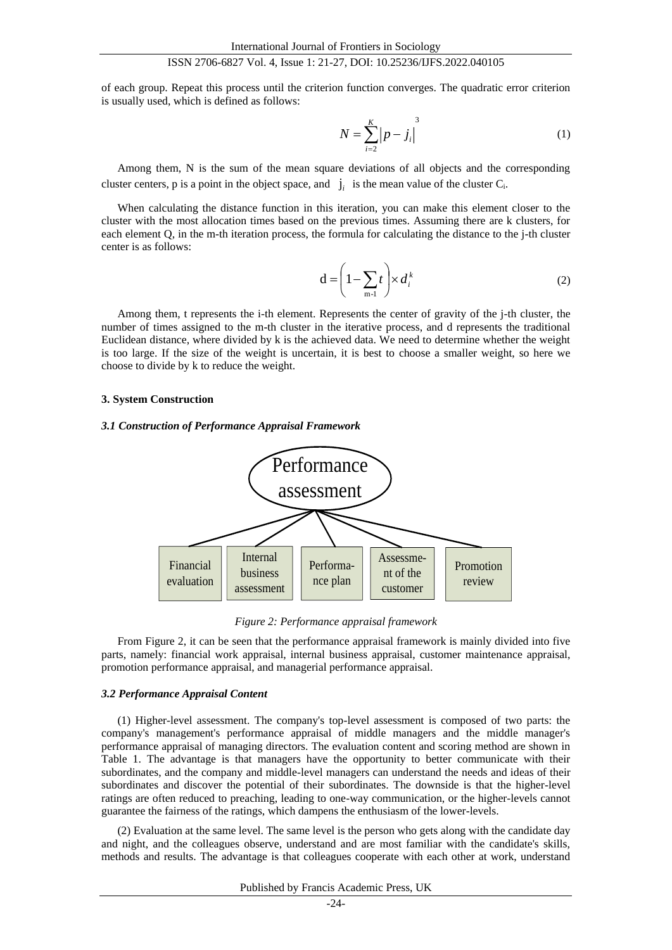of each group. Repeat this process until the criterion function converges. The quadratic error criterion is usually used, which is defined as follows:

$$
N = \sum_{i=2}^{K} |p - j_i|^{3}
$$
 (1)

Among them, N is the sum of the mean square deviations of all objects and the corresponding cluster centers, p is a point in the object space, and  $j_i$  is the mean value of the cluster  $C_i$ .

When calculating the distance function in this iteration, you can make this element closer to the cluster with the most allocation times based on the previous times. Assuming there are k clusters, for each element Q, in the m-th iteration process, the formula for calculating the distance to the j-th cluster center is as follows:

$$
\mathbf{d} = \left(1 - \sum_{m=1}^{k} t\right) \times d_i^k \tag{2}
$$

Among them, t represents the i-th element. Represents the center of gravity of the j-th cluster, the number of times assigned to the m-th cluster in the iterative process, and d represents the traditional Euclidean distance, where divided by k is the achieved data. We need to determine whether the weight is too large. If the size of the weight is uncertain, it is best to choose a smaller weight, so here we choose to divide by k to reduce the weight.

#### **3. System Construction**

#### *3.1 Construction of Performance Appraisal Framework*



*Figure 2: Performance appraisal framework*

From Figure 2, it can be seen that the performance appraisal framework is mainly divided into five parts, namely: financial work appraisal, internal business appraisal, customer maintenance appraisal, promotion performance appraisal, and managerial performance appraisal.

#### *3.2 Performance Appraisal Content*

(1) Higher-level assessment. The company's top-level assessment is composed of two parts: the company's management's performance appraisal of middle managers and the middle manager's performance appraisal of managing directors. The evaluation content and scoring method are shown in Table 1. The advantage is that managers have the opportunity to better communicate with their subordinates, and the company and middle-level managers can understand the needs and ideas of their subordinates and discover the potential of their subordinates. The downside is that the higher-level ratings are often reduced to preaching, leading to one-way communication, or the higher-levels cannot guarantee the fairness of the ratings, which dampens the enthusiasm of the lower-levels.

(2) Evaluation at the same level. The same level is the person who gets along with the candidate day and night, and the colleagues observe, understand and are most familiar with the candidate's skills, methods and results. The advantage is that colleagues cooperate with each other at work, understand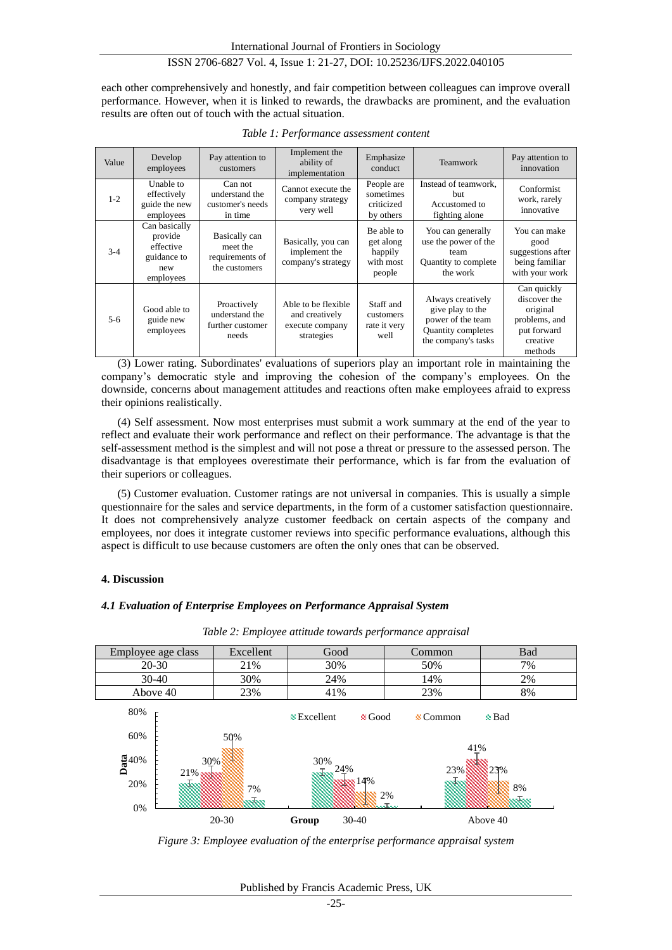each other comprehensively and honestly, and fair competition between colleagues can improve overall performance. However, when it is linked to rewards, the drawbacks are prominent, and the evaluation results are often out of touch with the actual situation.

| Value | Develop<br>employees                                                     | Pay attention to<br>customers                                 | Implement the<br>ability of<br>implementation                          | Emphasize<br>conduct                                      | Teamwork                                                                                                | Pay attention to<br>innovation                                                                 |
|-------|--------------------------------------------------------------------------|---------------------------------------------------------------|------------------------------------------------------------------------|-----------------------------------------------------------|---------------------------------------------------------------------------------------------------------|------------------------------------------------------------------------------------------------|
| $1-2$ | Unable to<br>effectively<br>guide the new<br>employees                   | Can not<br>understand the<br>customer's needs<br>in time      | Cannot execute the<br>company strategy<br>very well                    | People are<br>sometimes<br>criticized<br>by others        | Instead of teamwork.<br><b>but</b><br>Accustomed to<br>fighting alone                                   | Conformist<br>work, rarely<br>innovative                                                       |
| $3-4$ | Can basically<br>provide<br>effective<br>guidance to<br>new<br>employees | Basically can<br>meet the<br>requirements of<br>the customers | Basically, you can<br>implement the<br>company's strategy              | Be able to<br>get along<br>happily<br>with most<br>people | You can generally<br>use the power of the<br>team<br>Quantity to complete<br>the work                   | You can make<br>good<br>suggestions after<br>being familiar<br>with your work                  |
| $5-6$ | Good able to<br>guide new<br>employees                                   | Proactively<br>understand the<br>further customer<br>needs    | Able to be flexible<br>and creatively<br>execute company<br>strategies | Staff and<br>customers<br>rate it very<br>well            | Always creatively<br>give play to the<br>power of the team<br>Quantity completes<br>the company's tasks | Can quickly<br>discover the<br>original<br>problems, and<br>put forward<br>creative<br>methods |

*Table 1: Performance assessment content*

(3) Lower rating. Subordinates' evaluations of superiors play an important role in maintaining the company's democratic style and improving the cohesion of the company's employees. On the downside, concerns about management attitudes and reactions often make employees afraid to express their opinions realistically.

(4) Self assessment. Now most enterprises must submit a work summary at the end of the year to reflect and evaluate their work performance and reflect on their performance. The advantage is that the self-assessment method is the simplest and will not pose a threat or pressure to the assessed person. The disadvantage is that employees overestimate their performance, which is far from the evaluation of their superiors or colleagues.

(5) Customer evaluation. Customer ratings are not universal in companies. This is usually a simple questionnaire for the sales and service departments, in the form of a customer satisfaction questionnaire. It does not comprehensively analyze customer feedback on certain aspects of the company and employees, nor does it integrate customer reviews into specific performance evaluations, although this aspect is difficult to use because customers are often the only ones that can be observed.

#### **4. Discussion**

#### *4.1 Evaluation of Enterprise Employees on Performance Appraisal System*

| Employee age class                       | Excellent          | Good        |            | Common      | <b>Bad</b>                 |
|------------------------------------------|--------------------|-------------|------------|-------------|----------------------------|
| $20 - 30$                                | 21%                | 30%         |            | 50%         | 7%                         |
| $30-40$                                  | 30%                | 24%         |            | 14%         | 2%                         |
| Above 40                                 | 23%                | 41%         |            | 23%         | 8%                         |
| 80%<br>60%                               | 50%                | S Excellent | & Good     | $\&$ Common | <b>N</b> Bad               |
| $\frac{5}{6}$ 40%<br>$21\%$<br>20%<br>0% | 30%<br>7%<br>othoo | 30%<br>24%  | :14%<br>2% | 41%<br>23%  | 23%<br>8%<br>$\mathcal{R}$ |
|                                          | $20 - 30$          | Group       | $30-40$    |             | Above 40                   |

*Table 2: Employee attitude towards performance appraisal*

*Figure 3: Employee evaluation of the enterprise performance appraisal system*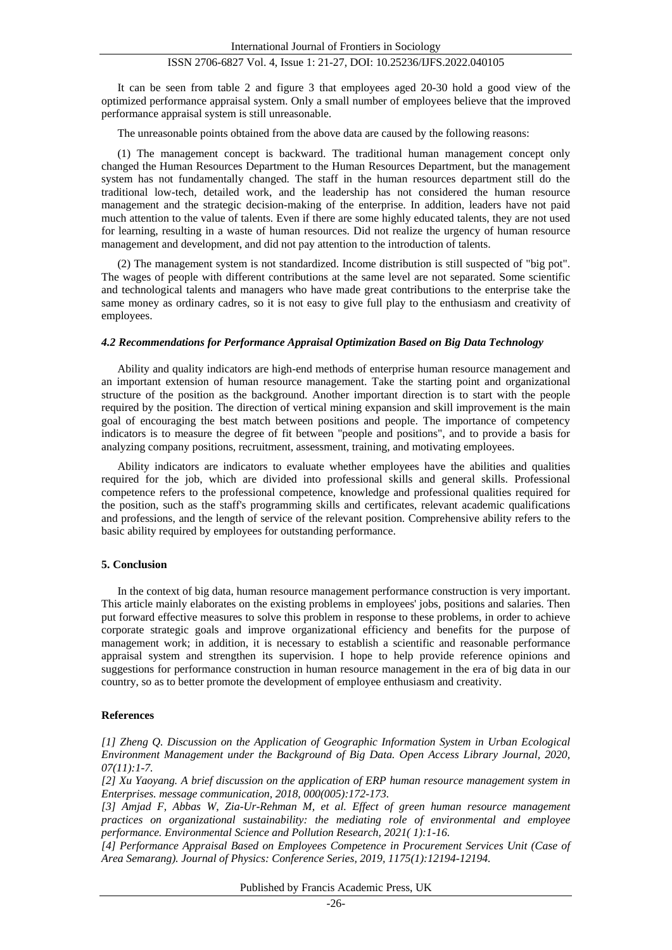It can be seen from table 2 and figure 3 that employees aged 20-30 hold a good view of the optimized performance appraisal system. Only a small number of employees believe that the improved performance appraisal system is still unreasonable.

The unreasonable points obtained from the above data are caused by the following reasons:

(1) The management concept is backward. The traditional human management concept only changed the Human Resources Department to the Human Resources Department, but the management system has not fundamentally changed. The staff in the human resources department still do the traditional low-tech, detailed work, and the leadership has not considered the human resource management and the strategic decision-making of the enterprise. In addition, leaders have not paid much attention to the value of talents. Even if there are some highly educated talents, they are not used for learning, resulting in a waste of human resources. Did not realize the urgency of human resource management and development, and did not pay attention to the introduction of talents.

(2) The management system is not standardized. Income distribution is still suspected of "big pot". The wages of people with different contributions at the same level are not separated. Some scientific and technological talents and managers who have made great contributions to the enterprise take the same money as ordinary cadres, so it is not easy to give full play to the enthusiasm and creativity of employees.

#### *4.2 Recommendations for Performance Appraisal Optimization Based on Big Data Technology*

Ability and quality indicators are high-end methods of enterprise human resource management and an important extension of human resource management. Take the starting point and organizational structure of the position as the background. Another important direction is to start with the people required by the position. The direction of vertical mining expansion and skill improvement is the main goal of encouraging the best match between positions and people. The importance of competency indicators is to measure the degree of fit between "people and positions", and to provide a basis for analyzing company positions, recruitment, assessment, training, and motivating employees.

Ability indicators are indicators to evaluate whether employees have the abilities and qualities required for the job, which are divided into professional skills and general skills. Professional competence refers to the professional competence, knowledge and professional qualities required for the position, such as the staff's programming skills and certificates, relevant academic qualifications and professions, and the length of service of the relevant position. Comprehensive ability refers to the basic ability required by employees for outstanding performance.

## **5. Conclusion**

In the context of big data, human resource management performance construction is very important. This article mainly elaborates on the existing problems in employees' jobs, positions and salaries. Then put forward effective measures to solve this problem in response to these problems, in order to achieve corporate strategic goals and improve organizational efficiency and benefits for the purpose of management work; in addition, it is necessary to establish a scientific and reasonable performance appraisal system and strengthen its supervision. I hope to help provide reference opinions and suggestions for performance construction in human resource management in the era of big data in our country, so as to better promote the development of employee enthusiasm and creativity.

#### **References**

*[1] Zheng Q. Discussion on the Application of Geographic Information System in Urban Ecological Environment Management under the Background of Big Data. Open Access Library Journal, 2020, 07(11):1-7.*

*[2] Xu Yaoyang. A brief discussion on the application of ERP human resource management system in Enterprises. message communication, 2018, 000(005):172-173.*

*[3] Amjad F, Abbas W, Zia-Ur-Rehman M, et al. Effect of green human resource management practices on organizational sustainability: the mediating role of environmental and employee performance. Environmental Science and Pollution Research, 2021( 1):1-16.*

*[4] Performance Appraisal Based on Employees Competence in Procurement Services Unit (Case of Area Semarang). Journal of Physics: Conference Series, 2019, 1175(1):12194-12194.*